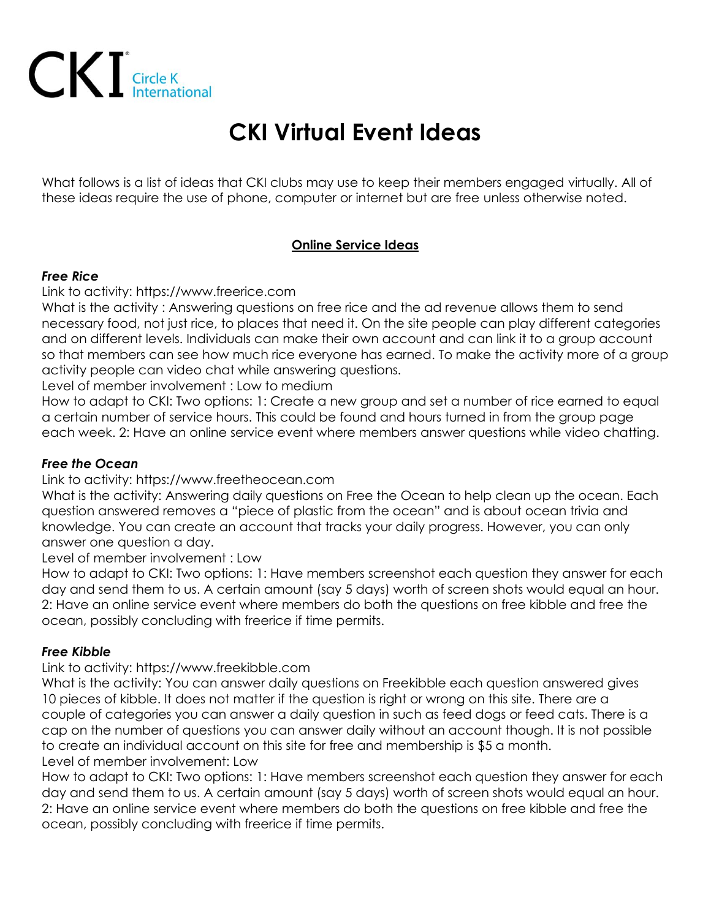

# **CKI Virtual Event Ideas**

What follows is a list of ideas that CKI clubs may use to keep their members engaged virtually. All of these ideas require the use of phone, computer or internet but are free unless otherwise noted.

# **Online Service Ideas**

## *Free Rice*

# Link to activity: https://www.freerice.com

What is the activity : Answering questions on free rice and the ad revenue allows them to send necessary food, not just rice, to places that need it. On the site people can play different categories and on different levels. Individuals can make their own account and can link it to a group account so that members can see how much rice everyone has earned. To make the activity more of a group activity people can video chat while answering questions.

Level of member involvement : Low to medium

How to adapt to CKI: Two options: 1: Create a new group and set a number of rice earned to equal a certain number of service hours. This could be found and hours turned in from the group page each week. 2: Have an online service event where members answer questions while video chatting.

## *Free the Ocean*

# Link to activity: https://www.freetheocean.com

What is the activity: Answering daily questions on Free the Ocean to help clean up the ocean. Each question answered removes a "piece of plastic from the ocean" and is about ocean trivia and knowledge. You can create an account that tracks your daily progress. However, you can only answer one question a day.

Level of member involvement : Low

How to adapt to CKI: Two options: 1: Have members screenshot each question they answer for each day and send them to us. A certain amount (say 5 days) worth of screen shots would equal an hour. 2: Have an online service event where members do both the questions on free kibble and free the ocean, possibly concluding with freerice if time permits.

# *Free Kibble*

# Link to activity: https://www.freekibble.com

What is the activity: You can answer daily questions on Freekibble each question answered gives 10 pieces of kibble. It does not matter if the question is right or wrong on this site. There are a couple of categories you can answer a daily question in such as feed dogs or feed cats. There is a cap on the number of questions you can answer daily without an account though. It is not possible to create an individual account on this site for free and membership is \$5 a month. Level of member involvement: Low

How to adapt to CKI: Two options: 1: Have members screenshot each question they answer for each day and send them to us. A certain amount (say 5 days) worth of screen shots would equal an hour. 2: Have an online service event where members do both the questions on free kibble and free the ocean, possibly concluding with freerice if time permits.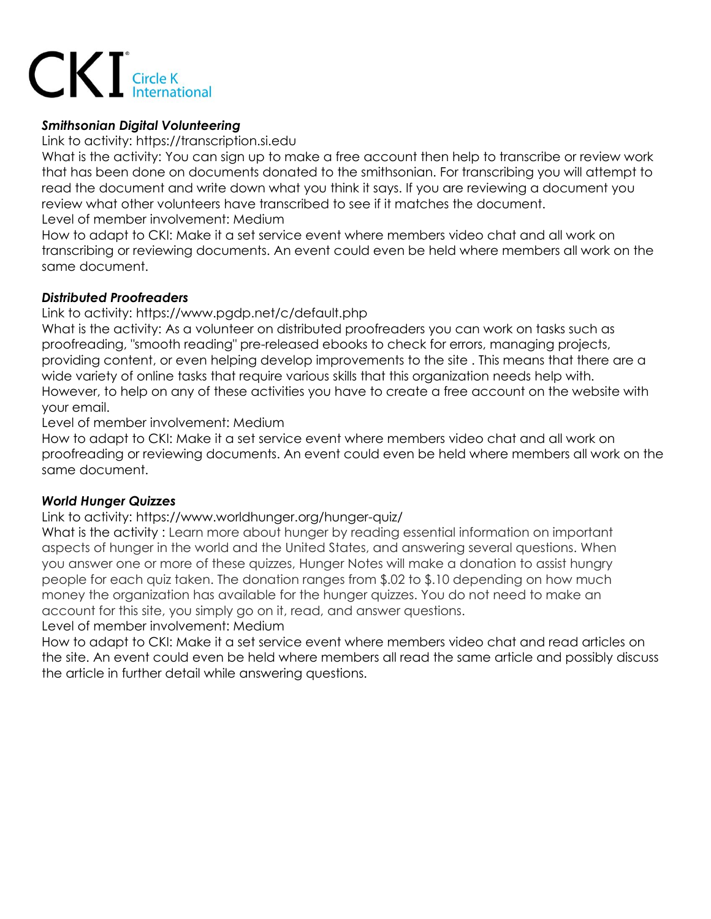

# *Smithsonian Digital Volunteering*

Link to activity: https://transcription.si.edu

What is the activity: You can sign up to make a free account then help to transcribe or review work that has been done on documents donated to the smithsonian. For transcribing you will attempt to read the document and write down what you think it says. If you are reviewing a document you review what other volunteers have transcribed to see if it matches the document. Level of member involvement: Medium

How to adapt to CKI: Make it a set service event where members video chat and all work on transcribing or reviewing documents. An event could even be held where members all work on the same document.

## *Distributed Proofreaders*

Link to activity: https://www.pgdp.net/c/default.php

What is the activity: As a volunteer on distributed proofreaders you can work on tasks such as proofreading, "smooth reading" pre-released ebooks to check for errors, managing projects, providing content, or even helping develop improvements to the site . This means that there are a wide variety of online tasks that require various skills that this organization needs help with. However, to help on any of these activities you have to create a free account on the website with your email.

Level of member involvement: Medium

How to adapt to CKI: Make it a set service event where members video chat and all work on proofreading or reviewing documents. An event could even be held where members all work on the same document.

# *World Hunger Quizzes*

Link to activity: https://www.worldhunger.org/hunger-quiz/

What is the activity : Learn more about hunger by reading essential information on important aspects of hunger in the world and the United States, and answering several questions. When you answer one or more of these quizzes, Hunger Notes will make a donation to assist hungry people for each quiz taken. The donation ranges from \$.02 to \$.10 depending on how much money the organization has available for the hunger quizzes. You do not need to make an account for this site, you simply go on it, read, and answer questions.

Level of member involvement: Medium

How to adapt to CKI: Make it a set service event where members video chat and read articles on the site. An event could even be held where members all read the same article and possibly discuss the article in further detail while answering questions.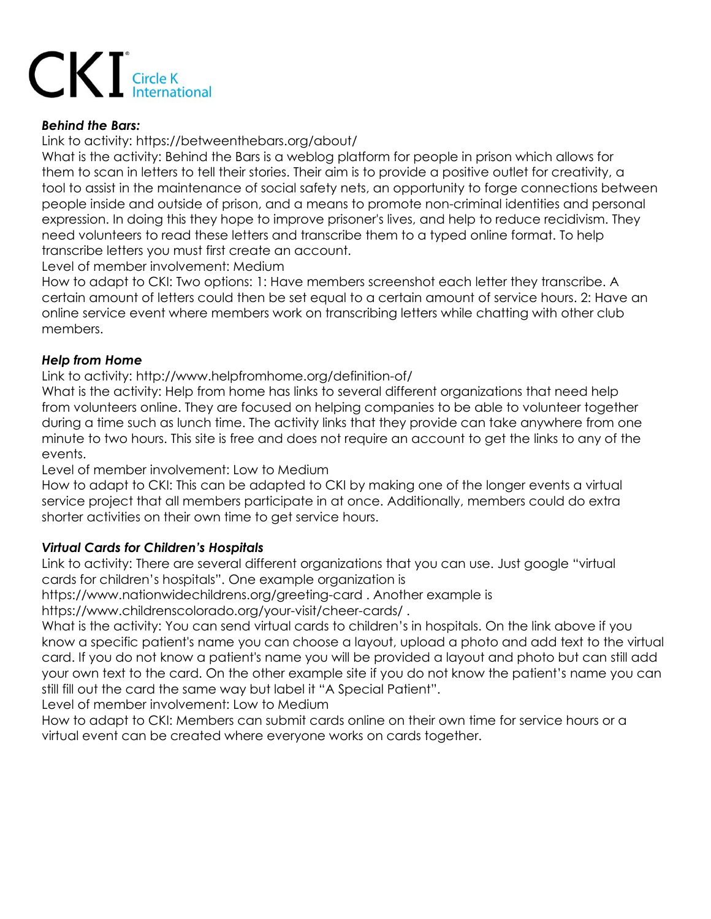

## *Behind the Bars:*

Link to activity: https://betweenthebars.org/about/

What is the activity: Behind the Bars is a weblog platform for people in prison which allows for them to scan in letters to tell their stories. Their aim is to provide a positive outlet for creativity, a tool to assist in the maintenance of social safety nets, an opportunity to forge connections between people inside and outside of prison, and a means to promote non-criminal identities and personal expression. In doing this they hope to improve prisoner's lives, and help to reduce recidivism. They need volunteers to read these letters and transcribe them to a typed online format. To help transcribe letters you must first create an account.

Level of member involvement: Medium

How to adapt to CKI: Two options: 1: Have members screenshot each letter they transcribe. A certain amount of letters could then be set equal to a certain amount of service hours. 2: Have an online service event where members work on transcribing letters while chatting with other club members.

## *Help from Home*

Link to activity: http://www.helpfromhome.org/definition-of/

What is the activity: Help from home has links to several different organizations that need help from volunteers online. They are focused on helping companies to be able to volunteer together during a time such as lunch time. The activity links that they provide can take anywhere from one minute to two hours. This site is free and does not require an account to get the links to any of the events.

Level of member involvement: Low to Medium

How to adapt to CKI: This can be adapted to CKI by making one of the longer events a virtual service project that all members participate in at once. Additionally, members could do extra shorter activities on their own time to get service hours.

## *Virtual Cards for Children's Hospitals*

Link to activity: There are several different organizations that you can use. Just google "virtual cards for children's hospitals". One example organization is

https://www.nationwidechildrens.org/greeting-card . Another example is

https://www.childrenscolorado.org/your-visit/cheer-cards/ .

What is the activity: You can send virtual cards to children's in hospitals. On the link above if you know a specific patient's name you can choose a layout, upload a photo and add text to the virtual card. If you do not know a patient's name you will be provided a layout and photo but can still add your own text to the card. On the other example site if you do not know the patient's name you can still fill out the card the same way but label it "A Special Patient".

Level of member involvement: Low to Medium

How to adapt to CKI: Members can submit cards online on their own time for service hours or a virtual event can be created where everyone works on cards together.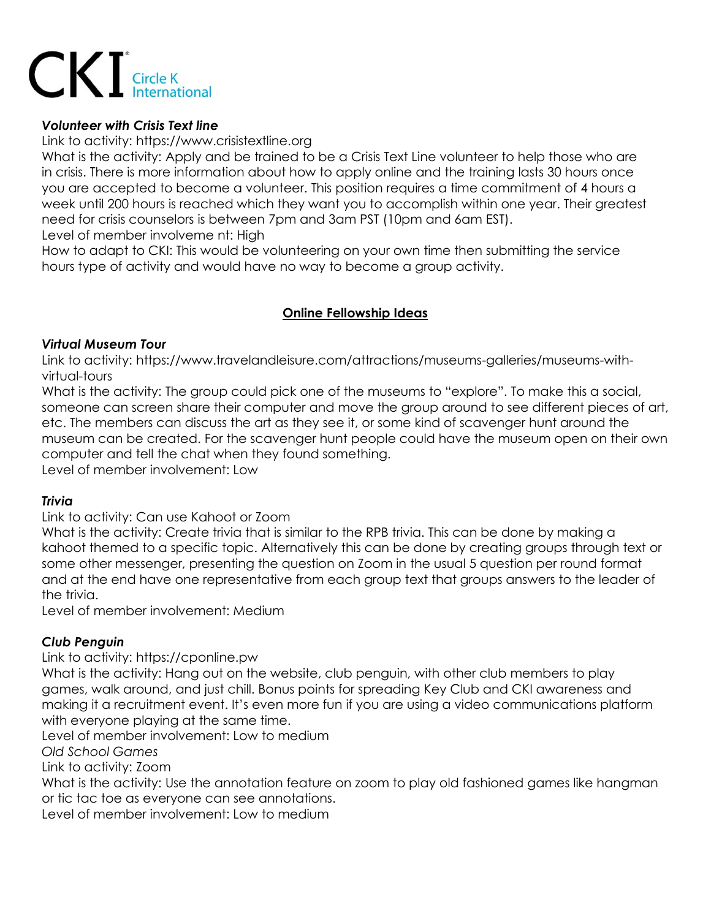

## *Volunteer with Crisis Text line*

Link to activity: https://www.crisistextline.org

What is the activity: Apply and be trained to be a Crisis Text Line volunteer to help those who are in crisis. There is more information about how to apply online and the training lasts 30 hours once you are accepted to become a volunteer. This position requires a time commitment of 4 hours a week until 200 hours is reached which they want you to accomplish within one year. Their greatest need for crisis counselors is between 7pm and 3am PST (10pm and 6am EST).

Level of member involveme nt: High

How to adapt to CKI: This would be volunteering on your own time then submitting the service hours type of activity and would have no way to become a group activity.

# **Online Fellowship Ideas**

## *Virtual Museum Tour*

Link to activity: https://www.travelandleisure.com/attractions/museums-galleries/museums-withvirtual-tours

What is the activity: The group could pick one of the museums to "explore". To make this a social, someone can screen share their computer and move the group around to see different pieces of art, etc. The members can discuss the art as they see it, or some kind of scavenger hunt around the museum can be created. For the scavenger hunt people could have the museum open on their own computer and tell the chat when they found something.

Level of member involvement: Low

## *Trivia*

Link to activity: Can use Kahoot or Zoom

What is the activity: Create trivia that is similar to the RPB trivia. This can be done by making a kahoot themed to a specific topic. Alternatively this can be done by creating groups through text or some other messenger, presenting the question on Zoom in the usual 5 question per round format and at the end have one representative from each group text that groups answers to the leader of the trivia.

Level of member involvement: Medium

## *Club Penguin*

Link to activity: https://cponline.pw

What is the activity: Hang out on the website, club penguin, with other club members to play games, walk around, and just chill. Bonus points for spreading Key Club and CKI awareness and making it a recruitment event. It's even more fun if you are using a video communications platform with everyone playing at the same time.

Level of member involvement: Low to medium

*Old School Games*

Link to activity: Zoom

What is the activity: Use the annotation feature on zoom to play old fashioned games like hangman or tic tac toe as everyone can see annotations.

Level of member involvement: Low to medium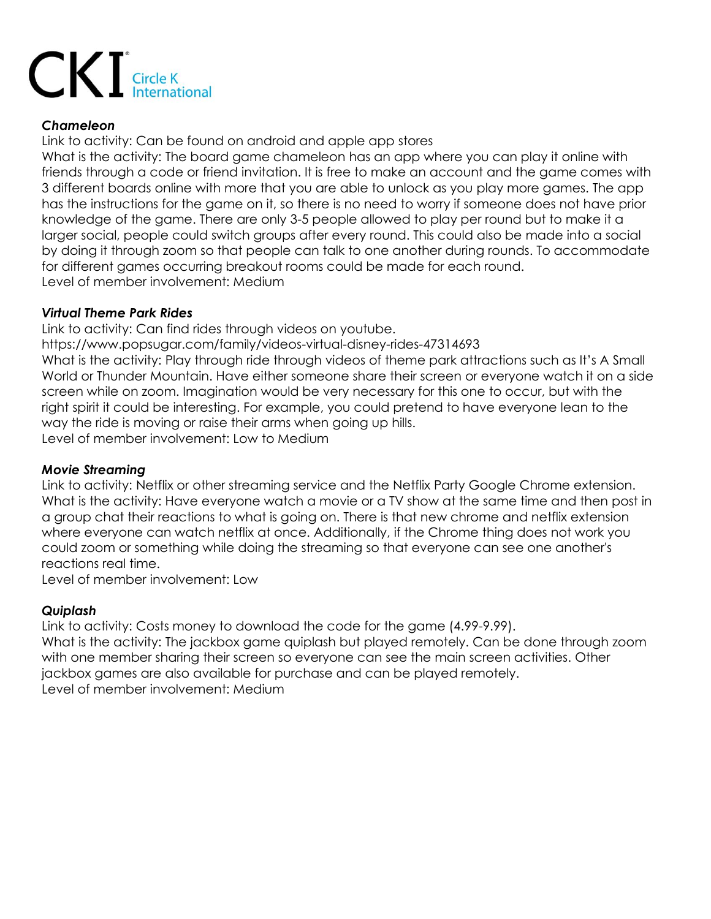

## *Chameleon*

Link to activity: Can be found on android and apple app stores

What is the activity: The board game chameleon has an app where you can play it online with friends through a code or friend invitation. It is free to make an account and the game comes with 3 different boards online with more that you are able to unlock as you play more games. The app has the instructions for the game on it, so there is no need to worry if someone does not have prior knowledge of the game. There are only 3-5 people allowed to play per round but to make it a larger social, people could switch groups after every round. This could also be made into a social by doing it through zoom so that people can talk to one another during rounds. To accommodate for different games occurring breakout rooms could be made for each round. Level of member involvement: Medium

# *Virtual Theme Park Rides*

Link to activity: Can find rides through videos on youtube.

https://www.popsugar.com/family/videos-virtual-disney-rides-47314693

What is the activity: Play through ride through videos of theme park attractions such as It's A Small World or Thunder Mountain. Have either someone share their screen or everyone watch it on a side screen while on zoom. Imagination would be very necessary for this one to occur, but with the right spirit it could be interesting. For example, you could pretend to have everyone lean to the way the ride is moving or raise their arms when going up hills. Level of member involvement: Low to Medium

# *Movie Streaming*

Link to activity: Netflix or other streaming service and the Netflix Party Google Chrome extension. What is the activity: Have everyone watch a movie or a TV show at the same time and then post in a group chat their reactions to what is going on. There is that new chrome and netflix extension where everyone can watch netflix at once. Additionally, if the Chrome thing does not work you could zoom or something while doing the streaming so that everyone can see one another's reactions real time.

Level of member involvement: Low

# *Quiplash*

Link to activity: Costs money to download the code for the game (4.99-9.99). What is the activity: The jackbox game quiplash but played remotely. Can be done through zoom with one member sharing their screen so everyone can see the main screen activities. Other jackbox games are also available for purchase and can be played remotely. Level of member involvement: Medium